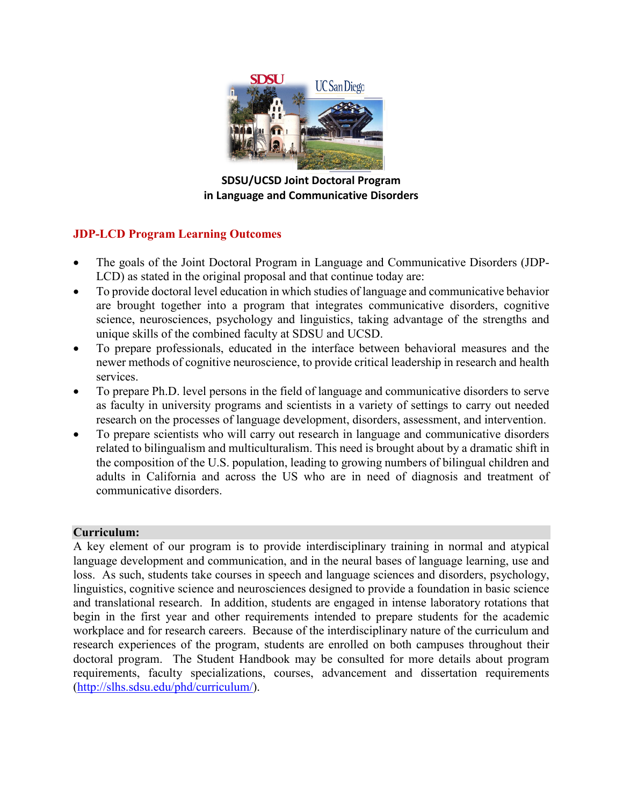

**SDSU/UCSD Joint Doctoral Program in Language and Communicative Disorders**

## **JDP-LCD Program Learning Outcomes**

- The goals of the Joint Doctoral Program in Language and Communicative Disorders (JDP-LCD) as stated in the original proposal and that continue today are:
- To provide doctoral level education in which studies of language and communicative behavior are brought together into a program that integrates communicative disorders, cognitive science, neurosciences, psychology and linguistics, taking advantage of the strengths and unique skills of the combined faculty at SDSU and UCSD.
- To prepare professionals, educated in the interface between behavioral measures and the newer methods of cognitive neuroscience, to provide critical leadership in research and health services.
- To prepare Ph.D. level persons in the field of language and communicative disorders to serve as faculty in university programs and scientists in a variety of settings to carry out needed research on the processes of language development, disorders, assessment, and intervention.
- To prepare scientists who will carry out research in language and communicative disorders related to bilingualism and multiculturalism. This need is brought about by a dramatic shift in the composition of the U.S. population, leading to growing numbers of bilingual children and adults in California and across the US who are in need of diagnosis and treatment of communicative disorders.

## **Curriculum:**

A key element of our program is to provide interdisciplinary training in normal and atypical language development and communication, and in the neural bases of language learning, use and loss. As such, students take courses in speech and language sciences and disorders, psychology, linguistics, cognitive science and neurosciences designed to provide a foundation in basic science and translational research. In addition, students are engaged in intense laboratory rotations that begin in the first year and other requirements intended to prepare students for the academic workplace and for research careers. Because of the interdisciplinary nature of the curriculum and research experiences of the program, students are enrolled on both campuses throughout their doctoral program. The Student Handbook may be consulted for more details about program requirements, faculty specializations, courses, advancement and dissertation requirements [\(http://slhs.sdsu.edu/phd/curriculum/\)](http://slhs.sdsu.edu/phd/curriculum/).